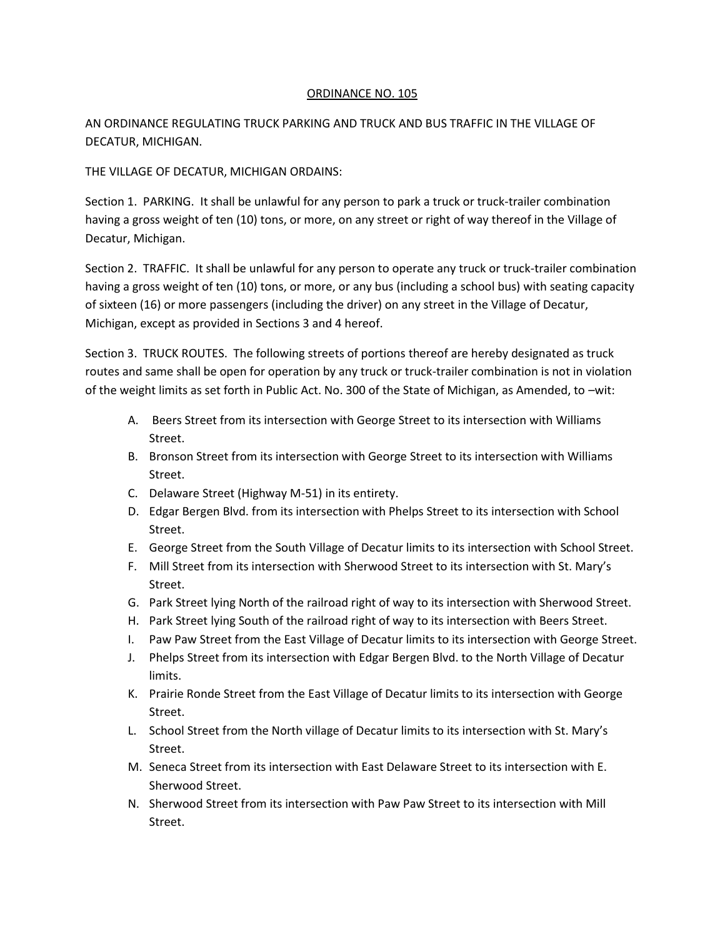## ORDINANCE NO. 105

AN ORDINANCE REGULATING TRUCK PARKING AND TRUCK AND BUS TRAFFIC IN THE VILLAGE OF DECATUR, MICHIGAN.

THE VILLAGE OF DECATUR, MICHIGAN ORDAINS:

Section 1. PARKING. It shall be unlawful for any person to park a truck or truck-trailer combination having a gross weight of ten (10) tons, or more, on any street or right of way thereof in the Village of Decatur, Michigan.

Section 2. TRAFFIC. It shall be unlawful for any person to operate any truck or truck-trailer combination having a gross weight of ten (10) tons, or more, or any bus (including a school bus) with seating capacity of sixteen (16) or more passengers (including the driver) on any street in the Village of Decatur, Michigan, except as provided in Sections 3 and 4 hereof.

Section 3. TRUCK ROUTES. The following streets of portions thereof are hereby designated as truck routes and same shall be open for operation by any truck or truck-trailer combination is not in violation of the weight limits as set forth in Public Act. No. 300 of the State of Michigan, as Amended, to –wit:

- A. Beers Street from its intersection with George Street to its intersection with Williams Street.
- B. Bronson Street from its intersection with George Street to its intersection with Williams Street.
- C. Delaware Street (Highway M-51) in its entirety.
- D. Edgar Bergen Blvd. from its intersection with Phelps Street to its intersection with School Street.
- E. George Street from the South Village of Decatur limits to its intersection with School Street.
- F. Mill Street from its intersection with Sherwood Street to its intersection with St. Mary's Street.
- G. Park Street lying North of the railroad right of way to its intersection with Sherwood Street.
- H. Park Street lying South of the railroad right of way to its intersection with Beers Street.
- I. Paw Paw Street from the East Village of Decatur limits to its intersection with George Street.
- J. Phelps Street from its intersection with Edgar Bergen Blvd. to the North Village of Decatur limits.
- K. Prairie Ronde Street from the East Village of Decatur limits to its intersection with George Street.
- L. School Street from the North village of Decatur limits to its intersection with St. Mary's Street.
- M. Seneca Street from its intersection with East Delaware Street to its intersection with E. Sherwood Street.
- N. Sherwood Street from its intersection with Paw Paw Street to its intersection with Mill Street.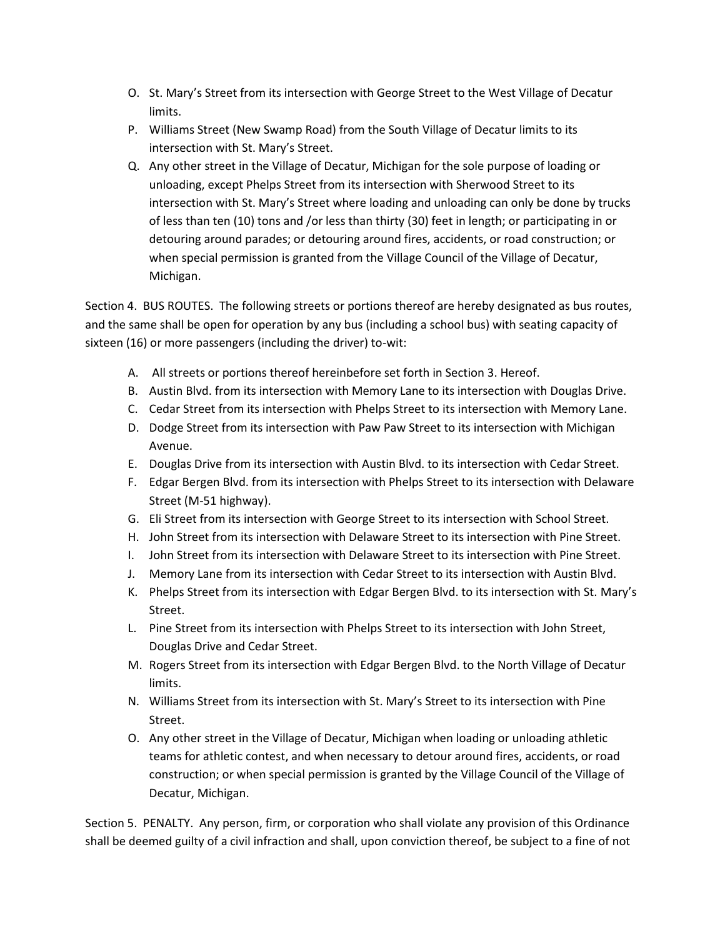- O. St. Mary's Street from its intersection with George Street to the West Village of Decatur limits.
- P. Williams Street (New Swamp Road) from the South Village of Decatur limits to its intersection with St. Mary's Street.
- Q. Any other street in the Village of Decatur, Michigan for the sole purpose of loading or unloading, except Phelps Street from its intersection with Sherwood Street to its intersection with St. Mary's Street where loading and unloading can only be done by trucks of less than ten (10) tons and /or less than thirty (30) feet in length; or participating in or detouring around parades; or detouring around fires, accidents, or road construction; or when special permission is granted from the Village Council of the Village of Decatur, Michigan.

Section 4. BUS ROUTES. The following streets or portions thereof are hereby designated as bus routes, and the same shall be open for operation by any bus (including a school bus) with seating capacity of sixteen (16) or more passengers (including the driver) to-wit:

- A. All streets or portions thereof hereinbefore set forth in Section 3. Hereof.
- B. Austin Blvd. from its intersection with Memory Lane to its intersection with Douglas Drive.
- C. Cedar Street from its intersection with Phelps Street to its intersection with Memory Lane.
- D. Dodge Street from its intersection with Paw Paw Street to its intersection with Michigan Avenue.
- E. Douglas Drive from its intersection with Austin Blvd. to its intersection with Cedar Street.
- F. Edgar Bergen Blvd. from its intersection with Phelps Street to its intersection with Delaware Street (M-51 highway).
- G. Eli Street from its intersection with George Street to its intersection with School Street.
- H. John Street from its intersection with Delaware Street to its intersection with Pine Street.
- I. John Street from its intersection with Delaware Street to its intersection with Pine Street.
- J. Memory Lane from its intersection with Cedar Street to its intersection with Austin Blvd.
- K. Phelps Street from its intersection with Edgar Bergen Blvd. to its intersection with St. Mary's Street.
- L. Pine Street from its intersection with Phelps Street to its intersection with John Street, Douglas Drive and Cedar Street.
- M. Rogers Street from its intersection with Edgar Bergen Blvd. to the North Village of Decatur limits.
- N. Williams Street from its intersection with St. Mary's Street to its intersection with Pine Street.
- O. Any other street in the Village of Decatur, Michigan when loading or unloading athletic teams for athletic contest, and when necessary to detour around fires, accidents, or road construction; or when special permission is granted by the Village Council of the Village of Decatur, Michigan.

Section 5. PENALTY. Any person, firm, or corporation who shall violate any provision of this Ordinance shall be deemed guilty of a civil infraction and shall, upon conviction thereof, be subject to a fine of not